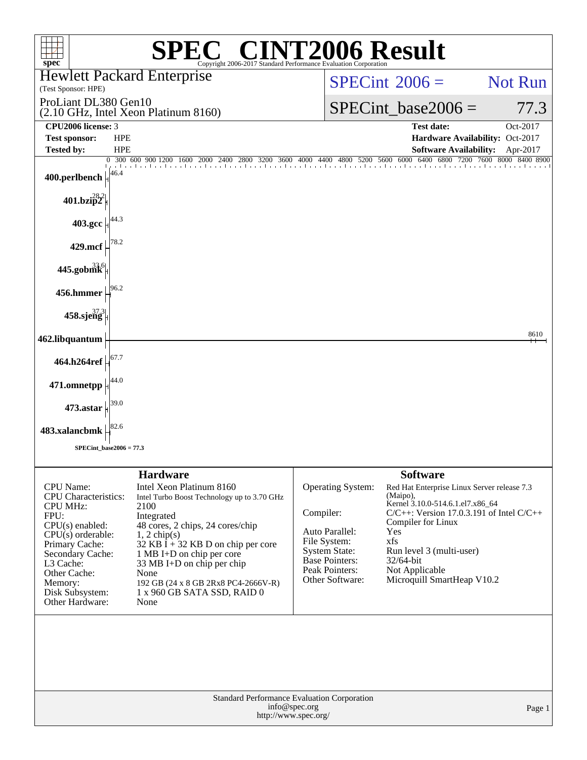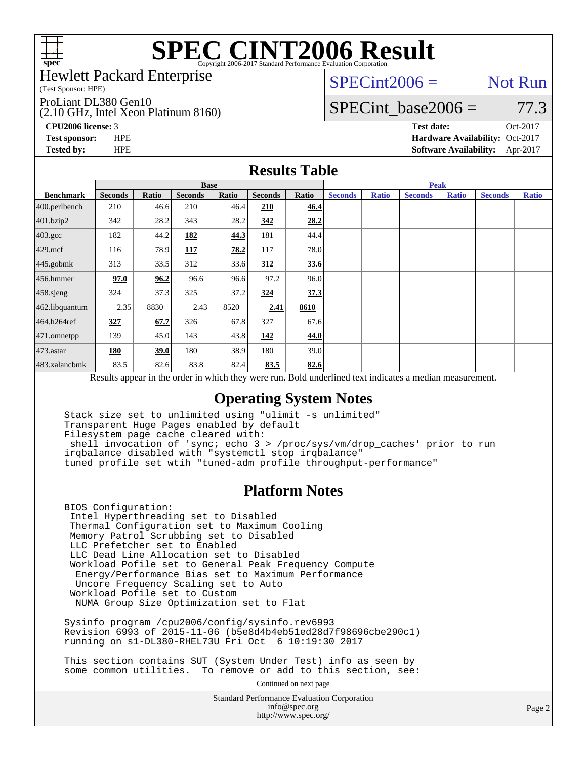

Hewlett Packard Enterprise

(Test Sponsor: HPE)

ProLiant DL380 Gen10

(2.10 GHz, Intel Xeon Platinum 8160)

 $SPECint2006 =$  Not Run

### SPECint base2006 =  $77.3$

**[CPU2006 license:](http://www.spec.org/auto/cpu2006/Docs/result-fields.html#CPU2006license)** 3 **[Test date:](http://www.spec.org/auto/cpu2006/Docs/result-fields.html#Testdate)** Oct-2017

**[Test sponsor:](http://www.spec.org/auto/cpu2006/Docs/result-fields.html#Testsponsor)** HPE **[Hardware Availability:](http://www.spec.org/auto/cpu2006/Docs/result-fields.html#HardwareAvailability)** Oct-2017 **[Tested by:](http://www.spec.org/auto/cpu2006/Docs/result-fields.html#Testedby)** HPE **[Software Availability:](http://www.spec.org/auto/cpu2006/Docs/result-fields.html#SoftwareAvailability)** Apr-2017

#### **[Results Table](http://www.spec.org/auto/cpu2006/Docs/result-fields.html#ResultsTable)**

|                                                                                                          | <b>Base</b>    |       |                |       |                |       | <b>Peak</b>    |              |                |              |                |              |
|----------------------------------------------------------------------------------------------------------|----------------|-------|----------------|-------|----------------|-------|----------------|--------------|----------------|--------------|----------------|--------------|
| <b>Benchmark</b>                                                                                         | <b>Seconds</b> | Ratio | <b>Seconds</b> | Ratio | <b>Seconds</b> | Ratio | <b>Seconds</b> | <b>Ratio</b> | <b>Seconds</b> | <b>Ratio</b> | <b>Seconds</b> | <b>Ratio</b> |
| $400.$ perlbench                                                                                         | 210            | 46.6  | 210            | 46.4  | 210            | 46.4  |                |              |                |              |                |              |
| 401.bzip2                                                                                                | 342            | 28.2  | 343            | 28.2  | 342            | 28.2  |                |              |                |              |                |              |
| $403.\mathrm{gcc}$                                                                                       | 182            | 44.2  | 182            | 44.3  | 181            | 44.4  |                |              |                |              |                |              |
| $429$ .mcf                                                                                               | 116            | 78.9  | 117            | 78.2  | 117            | 78.0  |                |              |                |              |                |              |
| $445$ .gobmk                                                                                             | 313            | 33.5  | 312            | 33.6  | 312            | 33.6  |                |              |                |              |                |              |
| $456.$ hmmer                                                                                             | 97.0           | 96.2  | 96.6           | 96.6  | 97.2           | 96.0  |                |              |                |              |                |              |
| 458.sjeng                                                                                                | 324            | 37.3  | 325            | 37.2  | 324            | 37.3  |                |              |                |              |                |              |
| 462.libquantum                                                                                           | 2.35           | 8830  | 2.43           | 8520  | 2.41           | 8610  |                |              |                |              |                |              |
| 464.h264ref                                                                                              | 327            | 67.7  | 326            | 67.8  | 327            | 67.6  |                |              |                |              |                |              |
| 471.omnetpp                                                                                              | 139            | 45.0  | 143            | 43.8  | 142            | 44.0  |                |              |                |              |                |              |
| $473$ . astar                                                                                            | 180            | 39.0  | 180            | 38.9  | 180            | 39.0  |                |              |                |              |                |              |
| 483.xalancbmk                                                                                            | 83.5           | 82.6  | 83.8           | 82.4  | 83.5           | 82.6  |                |              |                |              |                |              |
| Results appear in the order in which they were run. Bold underlined text indicates a median measurement. |                |       |                |       |                |       |                |              |                |              |                |              |

#### **[Operating System Notes](http://www.spec.org/auto/cpu2006/Docs/result-fields.html#OperatingSystemNotes)**

 Stack size set to unlimited using "ulimit -s unlimited" Transparent Huge Pages enabled by default Filesystem page cache cleared with: shell invocation of 'sync; echo 3 > /proc/sys/vm/drop\_caches' prior to run irqbalance disabled with "systemctl stop irqbalance" tuned profile set wtih "tuned-adm profile throughput-performance"

#### **[Platform Notes](http://www.spec.org/auto/cpu2006/Docs/result-fields.html#PlatformNotes)**

 BIOS Configuration: Intel Hyperthreading set to Disabled Thermal Configuration set to Maximum Cooling Memory Patrol Scrubbing set to Disabled LLC Prefetcher set to Enabled LLC Dead Line Allocation set to Disabled Workload Pofile set to General Peak Frequency Compute Energy/Performance Bias set to Maximum Performance Uncore Frequency Scaling set to Auto Workload Pofile set to Custom NUMA Group Size Optimization set to Flat

 Sysinfo program /cpu2006/config/sysinfo.rev6993 Revision 6993 of 2015-11-06 (b5e8d4b4eb51ed28d7f98696cbe290c1) running on s1-DL380-RHEL73U Fri Oct 6 10:19:30 2017

 This section contains SUT (System Under Test) info as seen by some common utilities. To remove or add to this section, see:

Continued on next page

Standard Performance Evaluation Corporation [info@spec.org](mailto:info@spec.org) <http://www.spec.org/>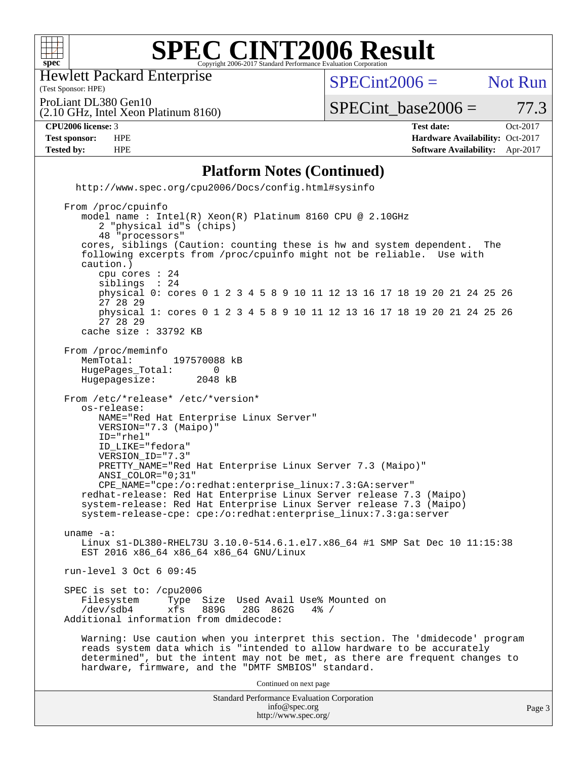

Hewlett Packard Enterprise

(2.10 GHz, Intel Xeon Platinum 8160)

(Test Sponsor: HPE)

 $SPECint2006 =$  Not Run

ProLiant DL380 Gen10

 $SPECTnt\_base2006 = 77.3$ 

**[CPU2006 license:](http://www.spec.org/auto/cpu2006/Docs/result-fields.html#CPU2006license)** 3 **[Test date:](http://www.spec.org/auto/cpu2006/Docs/result-fields.html#Testdate)** Oct-2017

**[Test sponsor:](http://www.spec.org/auto/cpu2006/Docs/result-fields.html#Testsponsor)** HPE **[Hardware Availability:](http://www.spec.org/auto/cpu2006/Docs/result-fields.html#HardwareAvailability)** Oct-2017 **[Tested by:](http://www.spec.org/auto/cpu2006/Docs/result-fields.html#Testedby)** HPE **[Software Availability:](http://www.spec.org/auto/cpu2006/Docs/result-fields.html#SoftwareAvailability)** Apr-2017

#### **[Platform Notes \(Continued\)](http://www.spec.org/auto/cpu2006/Docs/result-fields.html#PlatformNotes)**

Standard Performance Evaluation Corporation [info@spec.org](mailto:info@spec.org) <http://www.spec.org/> <http://www.spec.org/cpu2006/Docs/config.html#sysinfo> From /proc/cpuinfo model name : Intel(R) Xeon(R) Platinum 8160 CPU @ 2.10GHz 2 "physical id"s (chips) 48 "processors" cores, siblings (Caution: counting these is hw and system dependent. The following excerpts from /proc/cpuinfo might not be reliable. Use with caution.) cpu cores : 24 siblings physical 0: cores 0 1 2 3 4 5 8 9 10 11 12 13 16 17 18 19 20 21 24 25 26 27 28 29 physical 1: cores 0 1 2 3 4 5 8 9 10 11 12 13 16 17 18 19 20 21 24 25 26 27 28 29 cache size : 33792 KB From /proc/meminfo MemTotal: 197570088 kB<br>HugePages Total: 0 HugePages\_Total: 0<br>Hugepagesize: 2048 kB Hugepagesize: From /etc/\*release\* /etc/\*version\* os-release: NAME="Red Hat Enterprise Linux Server" VERSION="7.3 (Maipo)" ID="rhel" ID\_LIKE="fedora" VERSION\_ID="7.3" PRETTY\_NAME="Red Hat Enterprise Linux Server 7.3 (Maipo)" ANSI\_COLOR="0;31" CPE\_NAME="cpe:/o:redhat:enterprise\_linux:7.3:GA:server" redhat-release: Red Hat Enterprise Linux Server release 7.3 (Maipo) system-release: Red Hat Enterprise Linux Server release 7.3 (Maipo) system-release-cpe: cpe:/o:redhat:enterprise\_linux:7.3:ga:server uname -a: Linux s1-DL380-RHEL73U 3.10.0-514.6.1.el7.x86\_64 #1 SMP Sat Dec 10 11:15:38 EST 2016 x86\_64 x86\_64 x86\_64 GNU/Linux run-level 3 Oct 6 09:45 SPEC is set to: /cpu2006<br>Filesystem Type Type Size Used Avail Use% Mounted on /dev/sdb4 xfs 889G 28G 862G 4% / Additional information from dmidecode: Warning: Use caution when you interpret this section. The 'dmidecode' program reads system data which is "intended to allow hardware to be accurately determined", but the intent may not be met, as there are frequent changes to hardware, firmware, and the "DMTF SMBIOS" standard. Continued on next page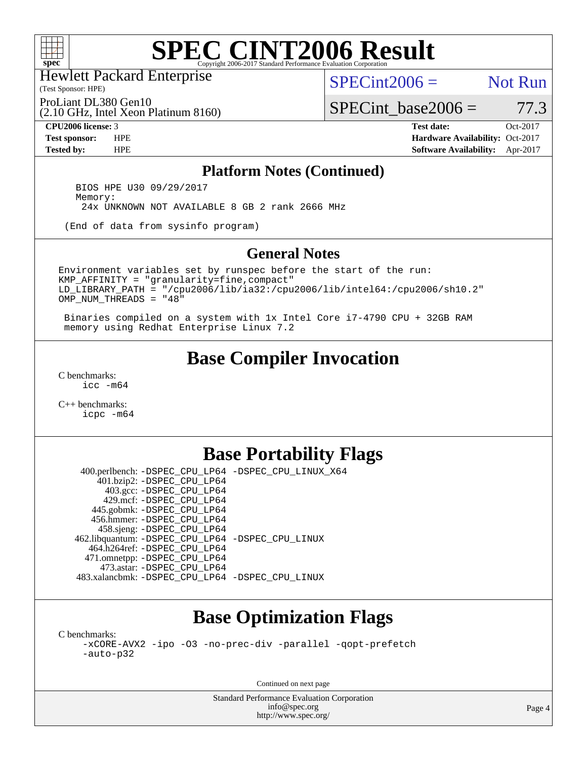

Hewlett Packard Enterprise

(Test Sponsor: HPE)

 $SPECint2006 =$  Not Run

(2.10 GHz, Intel Xeon Platinum 8160) ProLiant DL380 Gen10

SPECint base2006 =  $77.3$ 

**[CPU2006 license:](http://www.spec.org/auto/cpu2006/Docs/result-fields.html#CPU2006license)** 3 **[Test date:](http://www.spec.org/auto/cpu2006/Docs/result-fields.html#Testdate)** Oct-2017 **[Test sponsor:](http://www.spec.org/auto/cpu2006/Docs/result-fields.html#Testsponsor)** HPE **[Hardware Availability:](http://www.spec.org/auto/cpu2006/Docs/result-fields.html#HardwareAvailability)** Oct-2017 **[Tested by:](http://www.spec.org/auto/cpu2006/Docs/result-fields.html#Testedby)** HPE **[Software Availability:](http://www.spec.org/auto/cpu2006/Docs/result-fields.html#SoftwareAvailability)** Apr-2017

#### **[Platform Notes \(Continued\)](http://www.spec.org/auto/cpu2006/Docs/result-fields.html#PlatformNotes)**

 BIOS HPE U30 09/29/2017 Memory: 24x UNKNOWN NOT AVAILABLE 8 GB 2 rank 2666 MHz

(End of data from sysinfo program)

#### **[General Notes](http://www.spec.org/auto/cpu2006/Docs/result-fields.html#GeneralNotes)**

Environment variables set by runspec before the start of the run: KMP\_AFFINITY = "granularity=fine,compact" LD\_LIBRARY\_PATH = "/cpu2006/lib/ia32:/cpu2006/lib/intel64:/cpu2006/sh10.2" OMP\_NUM\_THREADS = "48"

 Binaries compiled on a system with 1x Intel Core i7-4790 CPU + 32GB RAM memory using Redhat Enterprise Linux 7.2

### **[Base Compiler Invocation](http://www.spec.org/auto/cpu2006/Docs/result-fields.html#BaseCompilerInvocation)**

[C benchmarks](http://www.spec.org/auto/cpu2006/Docs/result-fields.html#Cbenchmarks): [icc -m64](http://www.spec.org/cpu2006/results/res2017q4/cpu2006-20171017-50298.flags.html#user_CCbase_intel_icc_64bit_bda6cc9af1fdbb0edc3795bac97ada53)

[C++ benchmarks:](http://www.spec.org/auto/cpu2006/Docs/result-fields.html#CXXbenchmarks) [icpc -m64](http://www.spec.org/cpu2006/results/res2017q4/cpu2006-20171017-50298.flags.html#user_CXXbase_intel_icpc_64bit_fc66a5337ce925472a5c54ad6a0de310)

### **[Base Portability Flags](http://www.spec.org/auto/cpu2006/Docs/result-fields.html#BasePortabilityFlags)**

 400.perlbench: [-DSPEC\\_CPU\\_LP64](http://www.spec.org/cpu2006/results/res2017q4/cpu2006-20171017-50298.flags.html#b400.perlbench_basePORTABILITY_DSPEC_CPU_LP64) [-DSPEC\\_CPU\\_LINUX\\_X64](http://www.spec.org/cpu2006/results/res2017q4/cpu2006-20171017-50298.flags.html#b400.perlbench_baseCPORTABILITY_DSPEC_CPU_LINUX_X64) 401.bzip2: [-DSPEC\\_CPU\\_LP64](http://www.spec.org/cpu2006/results/res2017q4/cpu2006-20171017-50298.flags.html#suite_basePORTABILITY401_bzip2_DSPEC_CPU_LP64) 403.gcc: [-DSPEC\\_CPU\\_LP64](http://www.spec.org/cpu2006/results/res2017q4/cpu2006-20171017-50298.flags.html#suite_basePORTABILITY403_gcc_DSPEC_CPU_LP64) 429.mcf: [-DSPEC\\_CPU\\_LP64](http://www.spec.org/cpu2006/results/res2017q4/cpu2006-20171017-50298.flags.html#suite_basePORTABILITY429_mcf_DSPEC_CPU_LP64) 445.gobmk: [-DSPEC\\_CPU\\_LP64](http://www.spec.org/cpu2006/results/res2017q4/cpu2006-20171017-50298.flags.html#suite_basePORTABILITY445_gobmk_DSPEC_CPU_LP64) 456.hmmer: [-DSPEC\\_CPU\\_LP64](http://www.spec.org/cpu2006/results/res2017q4/cpu2006-20171017-50298.flags.html#suite_basePORTABILITY456_hmmer_DSPEC_CPU_LP64) 458.sjeng: [-DSPEC\\_CPU\\_LP64](http://www.spec.org/cpu2006/results/res2017q4/cpu2006-20171017-50298.flags.html#suite_basePORTABILITY458_sjeng_DSPEC_CPU_LP64) 462.libquantum: [-DSPEC\\_CPU\\_LP64](http://www.spec.org/cpu2006/results/res2017q4/cpu2006-20171017-50298.flags.html#suite_basePORTABILITY462_libquantum_DSPEC_CPU_LP64) [-DSPEC\\_CPU\\_LINUX](http://www.spec.org/cpu2006/results/res2017q4/cpu2006-20171017-50298.flags.html#b462.libquantum_baseCPORTABILITY_DSPEC_CPU_LINUX) 464.h264ref: [-DSPEC\\_CPU\\_LP64](http://www.spec.org/cpu2006/results/res2017q4/cpu2006-20171017-50298.flags.html#suite_basePORTABILITY464_h264ref_DSPEC_CPU_LP64) 471.omnetpp: [-DSPEC\\_CPU\\_LP64](http://www.spec.org/cpu2006/results/res2017q4/cpu2006-20171017-50298.flags.html#suite_basePORTABILITY471_omnetpp_DSPEC_CPU_LP64) 473.astar: [-DSPEC\\_CPU\\_LP64](http://www.spec.org/cpu2006/results/res2017q4/cpu2006-20171017-50298.flags.html#suite_basePORTABILITY473_astar_DSPEC_CPU_LP64) 483.xalancbmk: [-DSPEC\\_CPU\\_LP64](http://www.spec.org/cpu2006/results/res2017q4/cpu2006-20171017-50298.flags.html#suite_basePORTABILITY483_xalancbmk_DSPEC_CPU_LP64) [-DSPEC\\_CPU\\_LINUX](http://www.spec.org/cpu2006/results/res2017q4/cpu2006-20171017-50298.flags.html#b483.xalancbmk_baseCXXPORTABILITY_DSPEC_CPU_LINUX)

## **[Base Optimization Flags](http://www.spec.org/auto/cpu2006/Docs/result-fields.html#BaseOptimizationFlags)**

[C benchmarks](http://www.spec.org/auto/cpu2006/Docs/result-fields.html#Cbenchmarks):

[-xCORE-AVX2](http://www.spec.org/cpu2006/results/res2017q4/cpu2006-20171017-50298.flags.html#user_CCbase_f-xCORE-AVX2) [-ipo](http://www.spec.org/cpu2006/results/res2017q4/cpu2006-20171017-50298.flags.html#user_CCbase_f-ipo) [-O3](http://www.spec.org/cpu2006/results/res2017q4/cpu2006-20171017-50298.flags.html#user_CCbase_f-O3) [-no-prec-div](http://www.spec.org/cpu2006/results/res2017q4/cpu2006-20171017-50298.flags.html#user_CCbase_f-no-prec-div) [-parallel](http://www.spec.org/cpu2006/results/res2017q4/cpu2006-20171017-50298.flags.html#user_CCbase_f-parallel) [-qopt-prefetch](http://www.spec.org/cpu2006/results/res2017q4/cpu2006-20171017-50298.flags.html#user_CCbase_f-qopt-prefetch) [-auto-p32](http://www.spec.org/cpu2006/results/res2017q4/cpu2006-20171017-50298.flags.html#user_CCbase_f-auto-p32)

Continued on next page

Standard Performance Evaluation Corporation [info@spec.org](mailto:info@spec.org) <http://www.spec.org/>